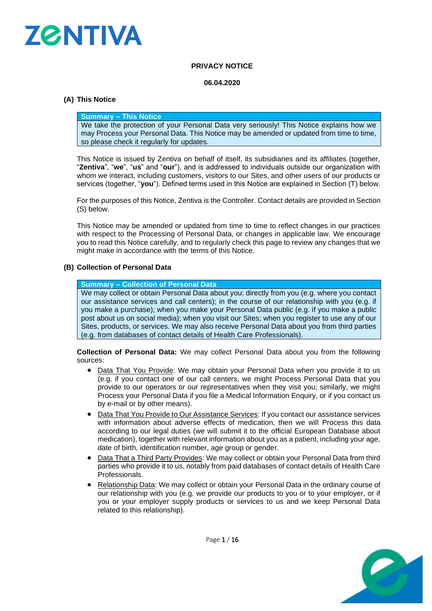

# **PRIVACY NOTICE**

#### **06.04.2020**

# **(A) This Notice**

#### **Summary – This Notice**

We take the protection of your Personal Data very seriously! This Notice explains how we may Process your Personal Data. This Notice may be amended or updated from time to time, so please check it regularly for updates.

This Notice is issued by Zentiva on behalf of itself, its subsidiaries and its affiliates (together, "**Zentiva**", "**we**", "**us**" and "**our**"), and is addressed to individuals outside our organization with whom we interact, including customers, visitors to our Sites, and other users of our products or services (together, "**you**"). Defined terms used in this Notice are explained in Section [\(T\)](#page-10-0) below.

For the purposes of this Notice, Zentiva is the Controller. Contact details are provided in Section [\(S\)](#page-10-1) below.

This Notice may be amended or updated from time to time to reflect changes in our practices with respect to the Processing of Personal Data, or changes in applicable law. We encourage you to read this Notice carefully, and to regularly check this page to review any changes that we might make in accordance with the terms of this Notice.

# **(B) Collection of Personal Data**

#### **Summary – Collection of Personal Data**

We may collect or obtain Personal Data about you: directly from you (e.g. where you contact our assistance services and call centers); in the course of our relationship with you (e.g. if you make a purchase); when you make your Personal Data public (e.g. if you make a public post about us on social media); when you visit our Sites; when you register to use any of our Sites, products, or services. We may also receive Personal Data about you from third parties (e.g. from databases of contact details of Health Care Professionals).

**Collection of Personal Data:** We may collect Personal Data about you from the following sources:

- Data That You Provide: We may obtain your Personal Data when you provide it to us (e.g. if you contact one of our call centers, we might Process Personal Data that you provide to our operators or our representatives when they visit you; similarly, we might Process your Personal Data if you file a Medical Information Enquiry, or if you contact us by e-mail or by other means).
- Data That You Provide to Our Assistance Services: If you contact our assistance services with information about adverse effects of medication, then we will Process this data according to our legal duties (we will submit it to the official European Database about medication), together with relevant information about you as a patient, including your age, date of birth, identification number, age group or gender.
- Data That a Third Party Provides: We may collect or obtain your Personal Data from third parties who provide it to us, notably from paid databases of contact details of Health Care Professionals.
- Relationship Data: We may collect or obtain your Personal Data in the ordinary course of our relationship with you (e.g. we provide our products to you or to your employer, or if you or your employer supply products or services to us and we keep Personal Data related to this relationship).



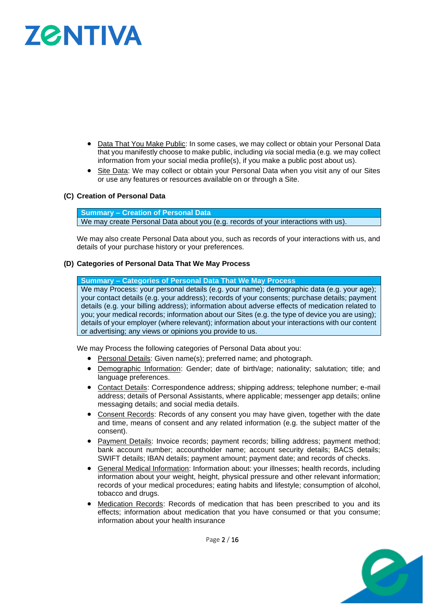# **ZØNTIVA**

- Data That You Make Public: In some cases, we may collect or obtain your Personal Data that you manifestly choose to make public, including *via* social media (e.g. we may collect information from your social media profile(s), if you make a public post about us).
- Site Data: We may collect or obtain your Personal Data when you visit any of our Sites or use any features or resources available on or through a Site.

# **(C) Creation of Personal Data**

**Summary – Creation of Personal Data** We may create Personal Data about you (e.g. records of your interactions with us).

We may also create Personal Data about you, such as records of your interactions with us, and details of your purchase history or your preferences.

#### **(D) Categories of Personal Data That We May Process**

**Summary – Categories of Personal Data That We May Process**

We may Process: your personal details (e.g. your name); demographic data (e.g. your age); your contact details (e.g. your address); records of your consents; purchase details; payment details (e.g. your billing address); information about adverse effects of medication related to you; your medical records; information about our Sites (e.g. the type of device you are using); details of your employer (where relevant); information about your interactions with our content or advertising; any views or opinions you provide to us.

We may Process the following categories of Personal Data about you:

- Personal Details: Given name(s); preferred name; and photograph.
- Demographic Information: Gender; date of birth/age; nationality; salutation; title; and language preferences.
- Contact Details: Correspondence address; shipping address; telephone number; e-mail address; details of Personal Assistants, where applicable; messenger app details; online messaging details; and social media details.
- Consent Records: Records of any consent you may have given, together with the date and time, means of consent and any related information (e.g. the subject matter of the consent).
- Payment Details: Invoice records; payment records; billing address; payment method; bank account number; accountholder name; account security details; BACS details; SWIFT details; IBAN details; payment amount; payment date; and records of checks.
- General Medical Information: Information about: your illnesses; health records, including information about your weight, height, physical pressure and other relevant information; records of your medical procedures; eating habits and lifestyle; consumption of alcohol, tobacco and drugs.
- Medication Records: Records of medication that has been prescribed to you and its effects; information about medication that you have consumed or that you consume; information about your health insurance

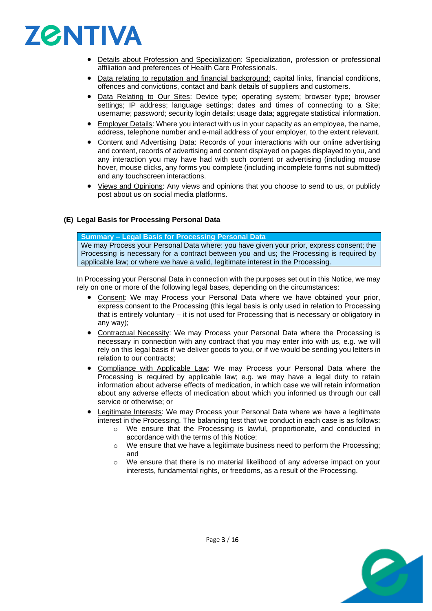

- Details about Profession and Specialization: Specialization, profession or professional affiliation and preferences of Health Care Professionals.
- Data relating to reputation and financial background: capital links, financial conditions, offences and convictions, contact and bank details of suppliers and customers.
- Data Relating to Our Sites: Device type; operating system; browser type; browser settings; IP address; language settings; dates and times of connecting to a Site; username; password; security login details; usage data; aggregate statistical information.
- Employer Details: Where you interact with us in your capacity as an employee, the name, address, telephone number and e-mail address of your employer, to the extent relevant.
- Content and Advertising Data: Records of your interactions with our online advertising and content, records of advertising and content displayed on pages displayed to you, and any interaction you may have had with such content or advertising (including mouse hover, mouse clicks, any forms you complete (including incomplete forms not submitted) and any touchscreen interactions.
- Views and Opinions: Any views and opinions that you choose to send to us, or publicly post about us on social media platforms.

# **(E) Legal Basis for Processing Personal Data**

#### **Summary – Legal Basis for Processing Personal Data**

We may Process your Personal Data where: you have given your prior, express consent; the Processing is necessary for a contract between you and us; the Processing is required by applicable law; or where we have a valid, legitimate interest in the Processing.

In Processing your Personal Data in connection with the purposes set out in this Notice, we may rely on one or more of the following legal bases, depending on the circumstances:

- Consent: We may Process your Personal Data where we have obtained your prior, express consent to the Processing (this legal basis is only used in relation to Processing that is entirely voluntary – it is not used for Processing that is necessary or obligatory in any way);
- Contractual Necessity: We may Process your Personal Data where the Processing is necessary in connection with any contract that you may enter into with us, e.g. we will rely on this legal basis if we deliver goods to you, or if we would be sending you letters in relation to our contracts;
- Compliance with Applicable Law: We may Process your Personal Data where the Processing is required by applicable law; e.g. we may have a legal duty to retain information about adverse effects of medication, in which case we will retain information about any adverse effects of medication about which you informed us through our call service or otherwise; or
- Legitimate Interests: We may Process your Personal Data where we have a legitimate interest in the Processing. The balancing test that we conduct in each case is as follows:
	- o We ensure that the Processing is lawful, proportionate, and conducted in accordance with the terms of this Notice;
	- o We ensure that we have a legitimate business need to perform the Processing; and
	- $\circ$  We ensure that there is no material likelihood of any adverse impact on your interests, fundamental rights, or freedoms, as a result of the Processing.

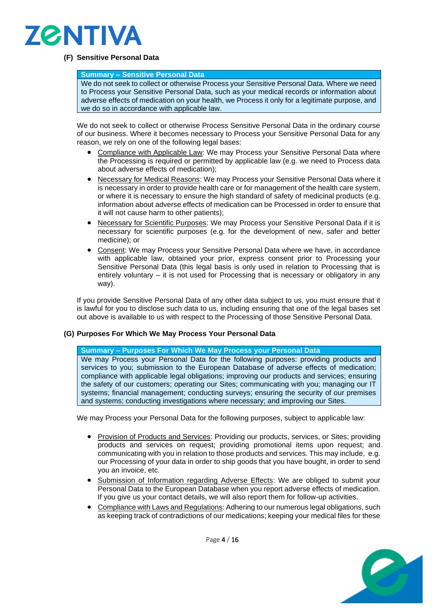

# **(F) Sensitive Personal Data**

#### **Summary – Sensitive Personal Data**

We do not seek to collect or otherwise Process your Sensitive Personal Data. Where we need to Process your Sensitive Personal Data, such as your medical records or information about adverse effects of medication on your health, we Process it only for a legitimate purpose, and we do so in accordance with applicable law.

We do not seek to collect or otherwise Process Sensitive Personal Data in the ordinary course of our business. Where it becomes necessary to Process your Sensitive Personal Data for any reason, we rely on one of the following legal bases:

- Compliance with Applicable Law: We may Process your Sensitive Personal Data where the Processing is required or permitted by applicable law (e.g. we need to Process data about adverse effects of medication);
- Necessary for Medical Reasons: We may Process your Sensitive Personal Data where it is necessary in order to provide health care or for management of the health care system, or where it is necessary to ensure the high standard of safety of medicinal products (e.g. information about adverse effects of medication can be Processed in order to ensure that it will not cause harm to other patients);
- Necessary for Scientific Purposes: We may Process your Sensitive Personal Data if it is necessary for scientific purposes (e.g. for the development of new, safer and better medicine); or
- Consent: We may Process your Sensitive Personal Data where we have, in accordance with applicable law, obtained your prior, express consent prior to Processing your Sensitive Personal Data (this legal basis is only used in relation to Processing that is entirely voluntary – it is not used for Processing that is necessary or obligatory in any way).

If you provide Sensitive Personal Data of any other data subject to us, you must ensure that it is lawful for you to disclose such data to us, including ensuring that one of the legal bases set out above is available to us with respect to the Processing of those Sensitive Personal Data.

# **(G) Purposes For Which We May Process Your Personal Data**

**Summary – Purposes For Which We May Process your Personal Data** We may Process your Personal Data for the following purposes: providing products and services to you; submission to the European Database of adverse effects of medication; compliance with applicable legal obligations; improving our products and services; ensuring the safety of our customers; operating our Sites; communicating with you; managing our IT systems; financial management; conducting surveys; ensuring the security of our premises and systems; conducting investigations where necessary; and improving our Sites.

We may Process your Personal Data for the following purposes, subject to applicable law:

- Provision of Products and Services: Providing our products, services, or Sites; providing products and services on request; providing promotional items upon request; and communicating with you in relation to those products and services. This may include, e.g. our Processing of your data in order to ship goods that you have bought, in order to send you an invoice, etc.
- Submission of Information regarding Adverse Effects: We are obliged to submit your Personal Data to the European Database when you report adverse effects of medication. If you give us your contact details, we will also report them for follow-up activities.
- Compliance with Laws and Regulations: Adhering to our numerous legal obligations, such as keeping track of contradictions of our medications; keeping your medical files for these



Page 4 / 16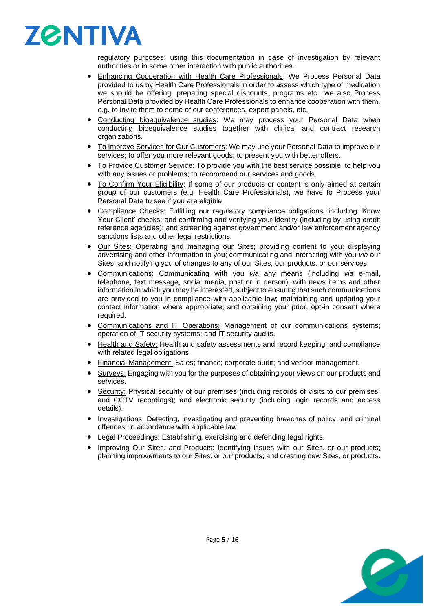

regulatory purposes; using this documentation in case of investigation by relevant authorities or in some other interaction with public authorities.

- **Enhancing Cooperation with Health Care Professionals: We Process Personal Data** provided to us by Health Care Professionals in order to assess which type of medication we should be offering, preparing special discounts, programs etc.; we also Process Personal Data provided by Health Care Professionals to enhance cooperation with them, e.g. to invite them to some of our conferences, expert panels, etc.
- Conducting bioequivalence studies: We may process your Personal Data when conducting bioequivalence studies together with clinical and contract research organizations.
- To Improve Services for Our Customers: We may use your Personal Data to improve our services; to offer you more relevant goods; to present you with better offers.
- To Provide Customer Service: To provide you with the best service possible; to help you with any issues or problems; to recommend our services and goods.
- To Confirm Your Eligibility: If some of our products or content is only aimed at certain group of our customers (e.g. Health Care Professionals), we have to Process your Personal Data to see if you are eligible.
- Compliance Checks: Fulfilling our regulatory compliance obligations, including 'Know Your Client' checks; and confirming and verifying your identity (including by using credit reference agencies); and screening against government and/or law enforcement agency sanctions lists and other legal restrictions.
- Our Sites: Operating and managing our Sites; providing content to you; displaying advertising and other information to you; communicating and interacting with you *via* our Sites; and notifying you of changes to any of our Sites, our products, or our services.
- Communications: Communicating with you *via* any means (including *via* e-mail, telephone, text message, social media, post or in person), with news items and other information in which you may be interested, subject to ensuring that such communications are provided to you in compliance with applicable law; maintaining and updating your contact information where appropriate; and obtaining your prior, opt-in consent where required.
- Communications and IT Operations: Management of our communications systems; operation of IT security systems; and IT security audits.
- Health and Safety: Health and safety assessments and record keeping; and compliance with related legal obligations.
- Financial Management: Sales; finance; corporate audit; and vendor management.
- Surveys: Engaging with you for the purposes of obtaining your views on our products and services.
- Security: Physical security of our premises (including records of visits to our premises; and CCTV recordings); and electronic security (including login records and access details).
- Investigations: Detecting, investigating and preventing breaches of policy, and criminal offences, in accordance with applicable law.
- Legal Proceedings: Establishing, exercising and defending legal rights.
- Improving Our Sites, and Products: Identifying issues with our Sites, or our products; planning improvements to our Sites, or our products; and creating new Sites, or products.

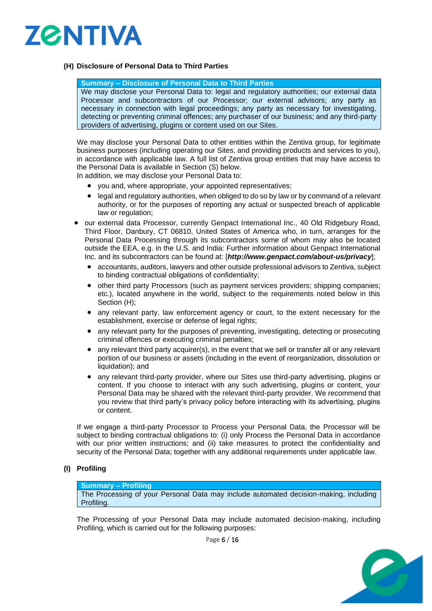

# <span id="page-5-0"></span>**(H) Disclosure of Personal Data to Third Parties**

#### **Summary – Disclosure of Personal Data to Third Parties**

We may disclose your Personal Data to: legal and regulatory authorities; our external data Processor and subcontractors of our Processor; our external advisors; any party as necessary in connection with legal proceedings; any party as necessary for investigating, detecting or preventing criminal offences; any purchaser of our business; and any third-party providers of advertising, plugins or content used on our Sites.

We may disclose your Personal Data to other entities within the Zentiva group, for legitimate business purposes (including operating our Sites, and providing products and services to you), in accordance with applicable law. A full list of Zentiva group entities that may have access to the Personal Data is available in Section [\(S\)](#page-10-1) below.

In addition, we may disclose your Personal Data to:

- you and, where appropriate, your appointed representatives;
- legal and regulatory authorities, when obliged to do so by law or by command of a relevant authority, or for the purposes of reporting any actual or suspected breach of applicable law or regulation;
- our external data Processor, currently Genpact International Inc., 40 Old Ridgebury Road, Third Floor, Danbury, CT 06810, United States of America who, in turn, arranges for the Personal Data Processing through its subcontractors some of whom may also be located outside the EEA, e.g. in the U.S. and India: Further information about Genpact International Inc. and its subcontractors can be found at: [*http://www.genpact.com/about-us/privacy*];
	- accountants, auditors, lawyers and other outside professional advisors to Zentiva, subject to binding contractual obligations of confidentiality;
	- other third party Processors (such as payment services providers; shipping companies; etc.), located anywhere in the world, subject to the requirements noted below in this Section [\(H\);](#page-5-0)
	- any relevant party, law enforcement agency or court, to the extent necessary for the establishment, exercise or defense of legal rights;
	- any relevant party for the purposes of preventing, investigating, detecting or prosecuting criminal offences or executing criminal penalties;
	- any relevant third party acquirer(s), in the event that we sell or transfer all or any relevant portion of our business or assets (including in the event of reorganization, dissolution or liquidation); and
	- any relevant third-party provider, where our Sites use third-party advertising, plugins or content. If you choose to interact with any such advertising, plugins or content, your Personal Data may be shared with the relevant third-party provider. We recommend that you review that third party's privacy policy before interacting with its advertising, plugins or content.

If we engage a third-party Processor to Process your Personal Data, the Processor will be subject to binding contractual obligations to: (i) only Process the Personal Data in accordance with our prior written instructions; and (ii) take measures to protect the confidentiality and security of the Personal Data; together with any additional requirements under applicable law.

# **(I) Profiling**

#### **Summary – Profiling**

The Processing of your Personal Data may include automated decision-making, including Profiling.

The Processing of your Personal Data may include automated decision-making, including Profiling, which is carried out for the following purposes:



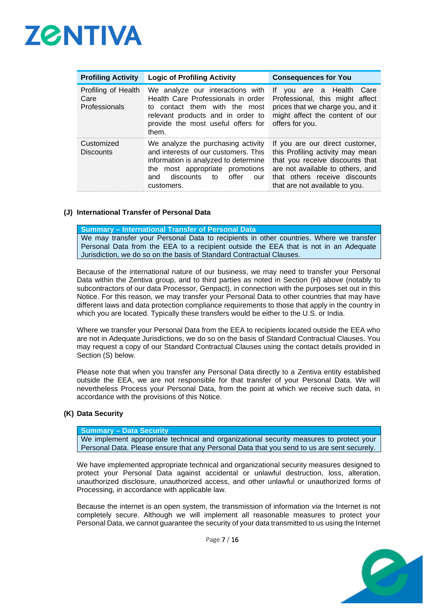

| <b>Profiling Activity</b>                    | <b>Logic of Profiling Activity</b>                                                                                                                                                                      | <b>Consequences for You</b>                                                                                                                                                                                   |  |
|----------------------------------------------|---------------------------------------------------------------------------------------------------------------------------------------------------------------------------------------------------------|---------------------------------------------------------------------------------------------------------------------------------------------------------------------------------------------------------------|--|
| Profiling of Health<br>Care<br>Professionals | We analyze our interactions with<br>Health Care Professionals in order<br>to contact them with the most<br>relevant products and in order to<br>provide the most useful offers for<br>them.             | vou are a Health Care<br>lf.<br>Professional, this might affect<br>prices that we charge you, and it<br>might affect the content of our<br>offers for you.                                                    |  |
| Customized<br><b>Discounts</b>               | We analyze the purchasing activity<br>and interests of our customers. This<br>information is analyzed to determine<br>the most appropriate promotions<br>discounts to offer<br>and<br>our<br>customers. | If you are our direct customer,<br>this Profiling activity may mean<br>that you receive discounts that<br>are not available to others, and<br>that others receive discounts<br>that are not available to you. |  |

#### **(J) International Transfer of Personal Data**

**Summary – International Transfer of Personal Data** We may transfer your Personal Data to recipients in other countries. Where we transfer Personal Data from the EEA to a recipient outside the EEA that is not in an Adequate Jurisdiction, we do so on the basis of Standard Contractual Clauses.

Because of the international nature of our business, we may need to transfer your Personal Data within the Zentiva group, and to third parties as noted in Section [\(H\)](#page-5-0) above (notably to subcontractors of our data Processor, Genpact), in connection with the purposes set out in this Notice. For this reason, we may transfer your Personal Data to other countries that may have different laws and data protection compliance requirements to those that apply in the country in which you are located. Typically these transfers would be either to the U.S. or India.

Where we transfer your Personal Data from the EEA to recipients located outside the EEA who are not in Adequate Jurisdictions, we do so on the basis of Standard Contractual Clauses. You may request a copy of our Standard Contractual Clauses using the contact details provided in Section [\(S\)](#page-10-1) below.

Please note that when you transfer any Personal Data directly to a Zentiva entity established outside the EEA, we are not responsible for that transfer of your Personal Data. We will nevertheless Process your Personal Data, from the point at which we receive such data, in accordance with the provisions of this Notice.

#### **(K) Data Security**

**Summary – Data Security**

We implement appropriate technical and organizational security measures to protect your Personal Data. Please ensure that any Personal Data that you send to us are sent securely.

We have implemented appropriate technical and organizational security measures designed to protect your Personal Data against accidental or unlawful destruction, loss, alteration, unauthorized disclosure, unauthorized access, and other unlawful or unauthorized forms of Processing, in accordance with applicable law.

Because the internet is an open system, the transmission of information *via* the Internet is not completely secure. Although we will implement all reasonable measures to protect your Personal Data, we cannot guarantee the security of your data transmitted to us using the Internet



Page 7 / 16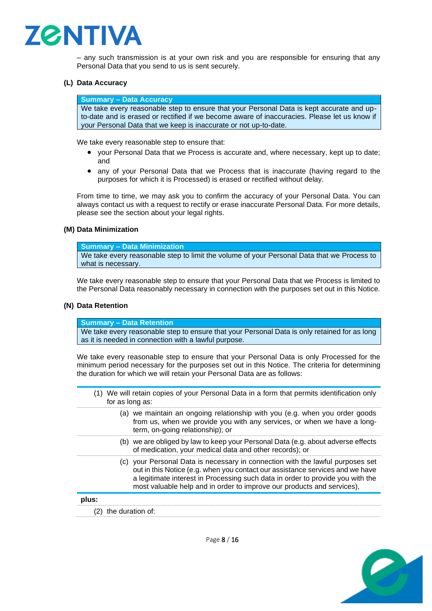

– any such transmission is at your own risk and you are responsible for ensuring that any Personal Data that you send to us is sent securely.

#### **(L) Data Accuracy**

**Summary – Data Accuracy**

We take every reasonable step to ensure that your Personal Data is kept accurate and upto-date and is erased or rectified if we become aware of inaccuracies. Please let us know if your Personal Data that we keep is inaccurate or not up-to-date.

We take every reasonable step to ensure that:

- your Personal Data that we Process is accurate and, where necessary, kept up to date; and
- any of your Personal Data that we Process that is inaccurate (having regard to the purposes for which it is Processed) is erased or rectified without delay.

From time to time, we may ask you to confirm the accuracy of your Personal Data. You can always contact us with a request to rectify or erase inaccurate Personal Data. For more details, please see the section about your legal rights.

#### **(M) Data Minimization**

**Summary – Data Minimization**

We take every reasonable step to limit the volume of your Personal Data that we Process to what is necessary.

We take every reasonable step to ensure that your Personal Data that we Process is limited to the Personal Data reasonably necessary in connection with the purposes set out in this Notice.

#### **(N) Data Retention**

**Summary – Data Retention**

We take every reasonable step to ensure that your Personal Data is only retained for as long as it is needed in connection with a lawful purpose.

We take every reasonable step to ensure that your Personal Data is only Processed for the minimum period necessary for the purposes set out in this Notice. The criteria for determining the duration for which we will retain your Personal Data are as follows:

<span id="page-7-1"></span><span id="page-7-0"></span>(1) We will retain copies of your Personal Data in a form that permits identification only for as long as: (a) we maintain an ongoing relationship with you (e.g. when you order goods from us, when we provide you with any services, or when we have a longterm, on-going relationship); or (b) we are obliged by law to keep your Personal Data (e.g. about adverse effects of medication, your medical data and other records); or (c) your Personal Data is necessary in connection with the lawful purposes set out in this Notice (e.g. when you contact our assistance services and we have a legitimate interest in Processing such data in order to provide you with the most valuable help and in order to improve our products and services), **plus:** (2) the duration of:

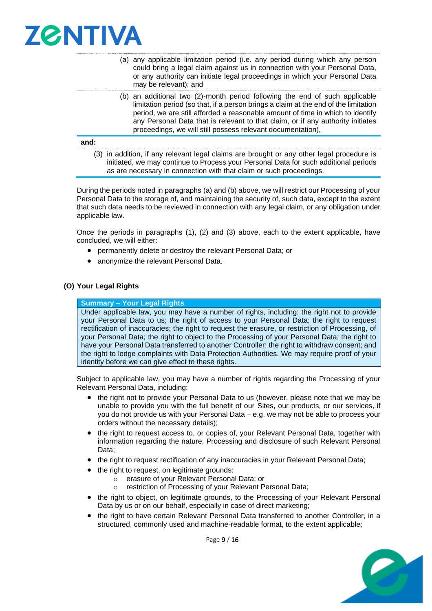

- <span id="page-8-0"></span>(a) any applicable limitation period (i.e. any period during which any person could bring a legal claim against us in connection with your Personal Data, or any authority can initiate legal proceedings in which your Personal Data may be relevant); and
- <span id="page-8-1"></span>(b) an additional two (2)-month period following the end of such applicable limitation period (so that, if a person brings a claim at the end of the limitation period, we are still afforded a reasonable amount of time in which to identify any Personal Data that is relevant to that claim, or if any authority initiates proceedings, we will still possess relevant documentation),

#### <span id="page-8-2"></span>**and:**

(3) in addition, if any relevant legal claims are brought or any other legal procedure is initiated, we may continue to Process your Personal Data for such additional periods as are necessary in connection with that claim or such proceedings.

During the periods noted in paragraphs [\(a\)](#page-8-0) and [\(b\)](#page-8-1) above, we will restrict our Processing of your Personal Data to the storage of, and maintaining the security of, such data, except to the extent that such data needs to be reviewed in connection with any legal claim, or any obligation under applicable law.

Once the periods in paragraphs [\(1\),](#page-7-0) [\(2\)](#page-7-1) and [\(3\)](#page-8-2) above, each to the extent applicable, have concluded, we will either:

- permanently delete or destroy the relevant Personal Data; or
- anonymize the relevant Personal Data.

#### **(O) Your Legal Rights**

#### **Summary – Your Legal Rights**

Under applicable law, you may have a number of rights, including: the right not to provide your Personal Data to us; the right of access to your Personal Data; the right to request rectification of inaccuracies; the right to request the erasure, or restriction of Processing, of your Personal Data; the right to object to the Processing of your Personal Data; the right to have your Personal Data transferred to another Controller; the right to withdraw consent; and the right to lodge complaints with Data Protection Authorities. We may require proof of your identity before we can give effect to these rights.

Subject to applicable law, you may have a number of rights regarding the Processing of your Relevant Personal Data, including:

- the right not to provide your Personal Data to us (however, please note that we may be unable to provide you with the full benefit of our Sites, our products, or our services, if you do not provide us with your Personal Data – e.g. we may not be able to process your orders without the necessary details);
- the right to request access to, or copies of, your Relevant Personal Data, together with information regarding the nature, Processing and disclosure of such Relevant Personal Data;
- the right to request rectification of any inaccuracies in your Relevant Personal Data;
- the right to request, on legitimate grounds:
	- o erasure of your Relevant Personal Data; or
		- o restriction of Processing of your Relevant Personal Data;
- the right to object, on legitimate grounds, to the Processing of your Relevant Personal Data by us or on our behalf, especially in case of direct marketing;
- the right to have certain Relevant Personal Data transferred to another Controller, in a structured, commonly used and machine-readable format, to the extent applicable;



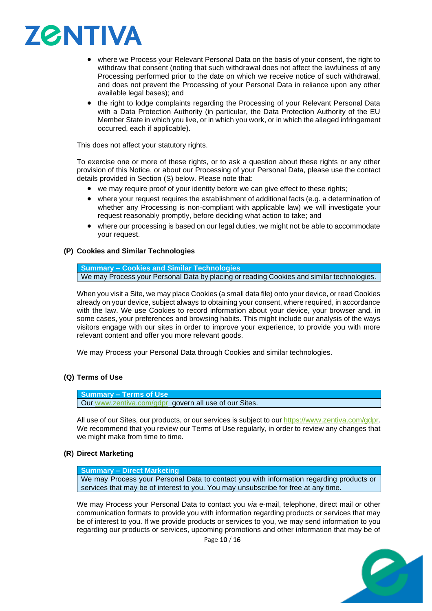

- where we Process your Relevant Personal Data on the basis of your consent, the right to withdraw that consent (noting that such withdrawal does not affect the lawfulness of any Processing performed prior to the date on which we receive notice of such withdrawal, and does not prevent the Processing of your Personal Data in reliance upon any other available legal bases); and
- the right to lodge complaints regarding the Processing of your Relevant Personal Data with a Data Protection Authority (in particular, the Data Protection Authority of the EU Member State in which you live, or in which you work, or in which the alleged infringement occurred, each if applicable).

This does not affect your statutory rights.

To exercise one or more of these rights, or to ask a question about these rights or any other provision of this Notice, or about our Processing of your Personal Data, please use the contact details provided in Section [\(S\)](#page-10-1) below. Please note that:

- we may require proof of your identity before we can give effect to these rights;
- where your request requires the establishment of additional facts (e.g. a determination of whether any Processing is non-compliant with applicable law) we will investigate your request reasonably promptly, before deciding what action to take; and
- where our processing is based on our legal duties, we might not be able to accommodate your request.

# **(P) Cookies and Similar Technologies**

**Summary – Cookies and Similar Technologies** We may Process your Personal Data by placing or reading Cookies and similar technologies.

When you visit a Site, we may place Cookies (a small data file) onto your device, or read Cookies already on your device, subject always to obtaining your consent, where required, in accordance with the law. We use Cookies to record information about your device, your browser and, in some cases, your preferences and browsing habits. This might include our analysis of the ways visitors engage with our sites in order to improve your experience, to provide you with more relevant content and offer you more relevant goods.

We may Process your Personal Data through Cookies and similar technologies.

# **(Q) Terms of Use**

**Summary – Terms of Use** Our [www.zentiva.com/gdpr](http://www.zentiva.com/gdpr) govern all use of our Sites.

All use of our Sites, our products, or our services is subject to our [https://www.zentiva.com/gdpr.](https://www.zentiva.com/gdpr) We recommend that you review our Terms of Use regularly, in order to review any changes that we might make from time to time.

# **(R) Direct Marketing**

**Summary – Direct Marketing**

We may Process your Personal Data to contact you with information regarding products or services that may be of interest to you. You may unsubscribe for free at any time.

We may Process your Personal Data to contact you *via* e-mail, telephone, direct mail or other communication formats to provide you with information regarding products or services that may be of interest to you. If we provide products or services to you, we may send information to you regarding our products or services, upcoming promotions and other information that may be of

Page 10 / 16

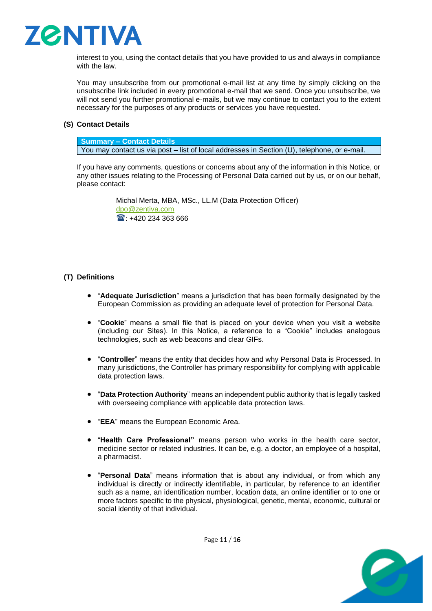

interest to you, using the contact details that you have provided to us and always in compliance with the law.

You may unsubscribe from our promotional e-mail list at any time by simply clicking on the unsubscribe link included in every promotional e-mail that we send. Once you unsubscribe, we will not send you further promotional e-mails, but we may continue to contact you to the extent necessary for the purposes of any products or services you have requested.

# <span id="page-10-1"></span>**(S) Contact Details**

**Summary – Contact Details** You may contact us via post – list of local addresses in Section (U), telephone, or e-mail.

If you have any comments, questions or concerns about any of the information in this Notice, or any other issues relating to the Processing of Personal Data carried out by us, or on our behalf, please contact:

> Michal Merta, MBA, MSc., LL.M (Data Protection Officer) [dpo@zentiva.com](mailto:dpo@zentiva.com)  $\text{1}$ : +420 234 363 666

# <span id="page-10-0"></span>**(T) Definitions**

- "**Adequate Jurisdiction**" means a jurisdiction that has been formally designated by the European Commission as providing an adequate level of protection for Personal Data.
- "**Cookie**" means a small file that is placed on your device when you visit a website (including our Sites). In this Notice, a reference to a "Cookie" includes analogous technologies, such as web beacons and clear GIFs.
- "**Controller**" means the entity that decides how and why Personal Data is Processed. In many jurisdictions, the Controller has primary responsibility for complying with applicable data protection laws.
- "**Data Protection Authority**" means an independent public authority that is legally tasked with overseeing compliance with applicable data protection laws.
- "**EEA**" means the European Economic Area.
- "**Health Care Professional"** means person who works in the health care sector, medicine sector or related industries. It can be, e.g. a doctor, an employee of a hospital, a pharmacist.
- "**Personal Data**" means information that is about any individual, or from which any individual is directly or indirectly identifiable, in particular, by reference to an identifier such as a name, an identification number, location data, an online identifier or to one or more factors specific to the physical, physiological, genetic, mental, economic, cultural or social identity of that individual.



Page  $11/16$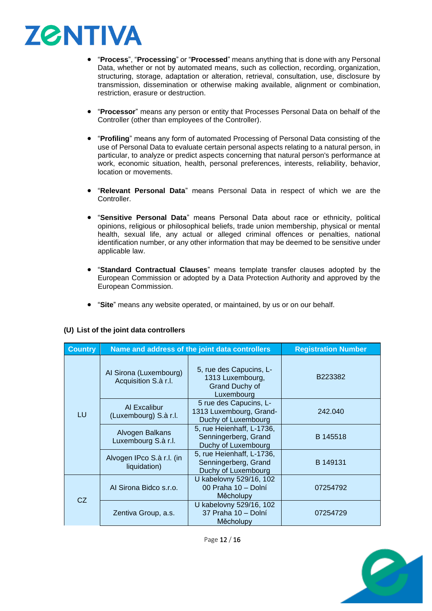

- "**Process**", "**Processing**" or "**Processed**" means anything that is done with any Personal Data, whether or not by automated means, such as collection, recording, organization, structuring, storage, adaptation or alteration, retrieval, consultation, use, disclosure by transmission, dissemination or otherwise making available, alignment or combination, restriction, erasure or destruction.
- "**Processor**" means any person or entity that Processes Personal Data on behalf of the Controller (other than employees of the Controller).
- "**Profiling**" means any form of automated Processing of Personal Data consisting of the use of Personal Data to evaluate certain personal aspects relating to a natural person, in particular, to analyze or predict aspects concerning that natural person's performance at work, economic situation, health, personal preferences, interests, reliability, behavior, location or movements.
- "**Relevant Personal Data**" means Personal Data in respect of which we are the Controller.
- "**Sensitive Personal Data**" means Personal Data about race or ethnicity, political opinions, religious or philosophical beliefs, trade union membership, physical or mental health, sexual life, any actual or alleged criminal offences or penalties, national identification number, or any other information that may be deemed to be sensitive under applicable law.
- "**Standard Contractual Clauses**" means template transfer clauses adopted by the European Commission or adopted by a Data Protection Authority and approved by the European Commission.
- "**Site**" means any website operated, or maintained, by us or on our behalf.

| <b>Country</b> | Name and address of the joint data controllers | <b>Registration Number</b>                                                         |          |
|----------------|------------------------------------------------|------------------------------------------------------------------------------------|----------|
| LU             | Al Sirona (Luxembourg)<br>Acquisition S.à r.l. | 5, rue des Capucins, L-<br>1313 Luxembourg,<br><b>Grand Duchy of</b><br>Luxembourg | B223382  |
|                | Al Excalibur<br>(Luxembourg) S.à r.l.          | 5 rue des Capucins, L-<br>1313 Luxembourg, Grand-<br>Duchy of Luxembourg           | 242,040  |
|                | Alvogen Balkans<br>Luxembourg S.à r.l.         | 5, rue Heienhaff, L-1736,<br>Senningerberg, Grand<br>Duchy of Luxembourg           | B 145518 |
|                | Alvogen IPco S.à r.l. (in<br>liquidation)      | 5, rue Heienhaff, L-1736,<br>Senningerberg, Grand<br>Duchy of Luxembourg           | B 149131 |
| CZ.            | Al Sirona Bidco s.r.o.                         | U kabelovny 529/16, 102<br>00 Praha 10 - Dolní<br>Měcholupy                        | 07254792 |
|                | Zentiva Group, a.s.                            | U kabelovny 529/16, 102<br>37 Praha 10 - Dolní<br>Měcholupy                        | 07254729 |

# **(U) List of the joint data controllers**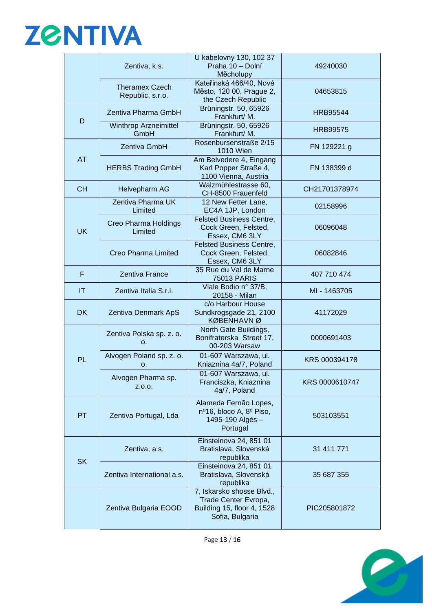# **ZØNTIVA**

|                        | Zentiva, k.s.                              | U kabelovny 130, 102 37<br>Praha 10 - Dolní<br>Měcholupy                                           | 49240030        |
|------------------------|--------------------------------------------|----------------------------------------------------------------------------------------------------|-----------------|
|                        | <b>Theramex Czech</b><br>Republic, s.r.o.  | Kateřinská 466/40, Nové<br>Město, 120 00, Prague 2,<br>the Czech Republic                          | 04653815        |
|                        | Zentiva Pharma GmbH                        | Brüningstr. 50, 65926<br>Frankfurt/M.                                                              | <b>HRB95544</b> |
| D                      | <b>Winthrop Arzneimittel</b><br>GmbH       | Brüningstr. 50, 65926<br>Frankfurt/M.                                                              | <b>HRB99575</b> |
|                        | Zentiva GmbH                               | Rosenbursenstraße 2/15<br><b>1010 Wien</b>                                                         | FN 129221 g     |
| AT                     | <b>HERBS Trading GmbH</b>                  | Am Belvedere 4, Eingang<br>Karl Popper Straße 4,<br>1100 Vienna, Austria                           | FN 138399 d     |
| <b>CH</b>              | Helvepharm AG                              | Walzmühlestrasse 60,<br>CH-8500 Frauenfeld                                                         | CH21701378974   |
|                        | Zentiva Pharma UK<br>Limited               | 12 New Fetter Lane,<br>EC4A 1JP, London                                                            | 02158996        |
| <b>UK</b>              | Creo Pharma Holdings<br>Limited            | <b>Felsted Business Centre,</b><br>Cock Green, Felsted,<br>Essex, CM6 3LY                          | 06096048        |
|                        | Creo Pharma Limited                        | <b>Felsted Business Centre,</b><br>Cock Green, Felsted,<br>Essex, CM6 3LY                          | 06082846        |
| F                      | <b>Zentiva France</b>                      | 35 Rue du Val de Marne<br><b>75013 PARIS</b>                                                       | 407 710 474     |
| $\mathsf{I}\mathsf{T}$ | Zentiva Italia S.r.l.                      | Viale Bodio n° 37/B,<br>20158 - Milan                                                              | MI - 1463705    |
| <b>DK</b>              | Zentiva Denmark ApS                        | c/o Harbour House<br>Sundkrogsgade 21, 2100<br>KØBENHAVN Ø                                         | 41172029        |
|                        | Zentiva Polska sp. z. o.<br>O <sub>1</sub> | North Gate Buildings,<br>Bonifraterska Street 17,<br>00-203 Warsaw                                 | 0000691403      |
| PL                     | Alvogen Poland sp. z. o.<br>0.             | 01-607 Warszawa, ul.<br>Kniaznina 4a/7, Poland                                                     | KRS 000394178   |
|                        | Alvogen Pharma sp.<br>Z.0.0.               | 01-607 Warszawa, ul.<br>Franciszka, Kniaznina<br>4a/7, Poland                                      | KRS 0000610747  |
| <b>PT</b>              | Zentiva Portugal, Lda                      | Alameda Fernão Lopes,<br>nº16, bloco A, 8º Piso,<br>1495-190 Algés -<br>Portugal                   | 503103551       |
|                        | Zentiva, a.s.                              | Einsteinova 24, 851 01<br>Bratislava, Slovenská<br>republika                                       | 31 411 771      |
| <b>SK</b>              | Zentiva International a.s.                 | Einsteinova 24, 851 01<br>Bratislava, Slovenská<br>republika                                       | 35 687 355      |
|                        | Zentiva Bulgaria EOOD                      | 7, Iskarsko shosse Blvd.,<br>Trade Center Evropa,<br>Building 15, floor 4, 1528<br>Sofia, Bulgaria | PIC205801872    |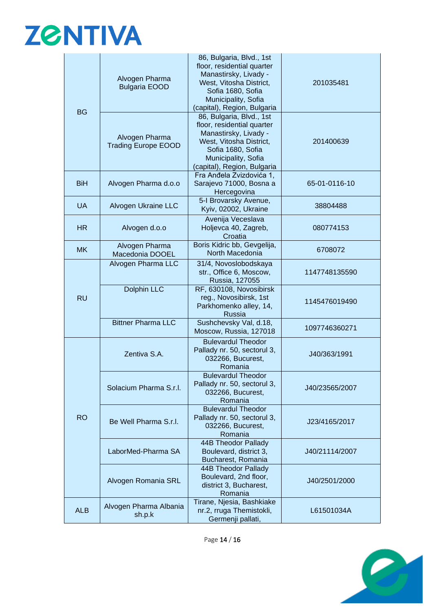# **ZØNTIVA**

| <b>BG</b>  | Alvogen Pharma<br><b>Bulgaria EOOD</b>       | 86, Bulgaria, Blvd., 1st<br>floor, residential quarter<br>Manastirsky, Livady -<br>West, Vitosha District,<br>Sofia 1680, Sofia<br>Municipality, Sofia<br>(capital), Region, Bulgaria | 201035481      |
|------------|----------------------------------------------|---------------------------------------------------------------------------------------------------------------------------------------------------------------------------------------|----------------|
|            | Alvogen Pharma<br><b>Trading Europe EOOD</b> | 86, Bulgaria, Blvd., 1st<br>floor, residential quarter<br>Manastirsky, Livady -<br>West, Vitosha District,<br>Sofia 1680, Sofia<br>Municipality, Sofia<br>(capital), Region, Bulgaria | 201400639      |
| <b>BiH</b> | Alvogen Pharma d.o.o                         | Fra Anđela Zvizdovića 1,<br>Sarajevo 71000, Bosna a<br>Hercegovina                                                                                                                    | 65-01-0116-10  |
| <b>UA</b>  | Alvogen Ukraine LLC                          | 5-I Brovarsky Avenue,<br>Kyiv, 02002, Ukraine                                                                                                                                         | 38804488       |
| <b>HR</b>  | Alvogen d.o.o                                | Avenija Veceslava<br>Holjevca 40, Zagreb,<br>Croatia                                                                                                                                  | 080774153      |
| <b>MK</b>  | Alvogen Pharma<br>Macedonia DOOEL            | Boris Kidric bb, Gevgelija,<br>North Macedonia                                                                                                                                        | 6708072        |
| <b>RU</b>  | Alvogen Pharma LLC                           | 31/4, Novoslobodskaya<br>str., Office 6, Moscow,<br>Russia, 127055                                                                                                                    | 1147748135590  |
|            | <b>Dolphin LLC</b>                           | RF, 630108, Novosibirsk<br>reg., Novosibirsk, 1st<br>Parkhomenko alley, 14,<br><b>Russia</b>                                                                                          | 1145476019490  |
|            | <b>Bittner Pharma LLC</b>                    | Sushchevsky Val, d.18,<br>Moscow, Russia, 127018                                                                                                                                      | 1097746360271  |
| <b>RO</b>  | Zentiva S.A.                                 | <b>Bulevardul Theodor</b><br>Pallady nr. 50, sectorul 3,<br>032266, Bucurest,<br>Romania                                                                                              | J40/363/1991   |
|            | Solacium Pharma S.r.l.                       | <b>Bulevardul Theodor</b><br>Pallady nr. 50, sectorul 3,<br>032266, Bucurest,<br>Romania                                                                                              | J40/23565/2007 |
|            | Be Well Pharma S.r.l.                        | <b>Bulevardul Theodor</b><br>Pallady nr. 50, sectorul 3,<br>032266, Bucurest,<br>Romania                                                                                              | J23/4165/2017  |
|            | LaborMed-Pharma SA                           | 44B Theodor Pallady<br>Boulevard, district 3,<br>Bucharest, Romania                                                                                                                   | J40/21114/2007 |
|            | Alvogen Romania SRL                          | 44B Theodor Pallady<br>Boulevard, 2nd floor,<br>district 3, Bucharest,<br>Romania                                                                                                     | J40/2501/2000  |
| <b>ALB</b> | Alvogen Pharma Albania<br>sh.p.k             | Tirane, Njesia, Bashkiake<br>nr.2, rruga Themistokli,<br>Germenji pallati,                                                                                                            | L61501034A     |

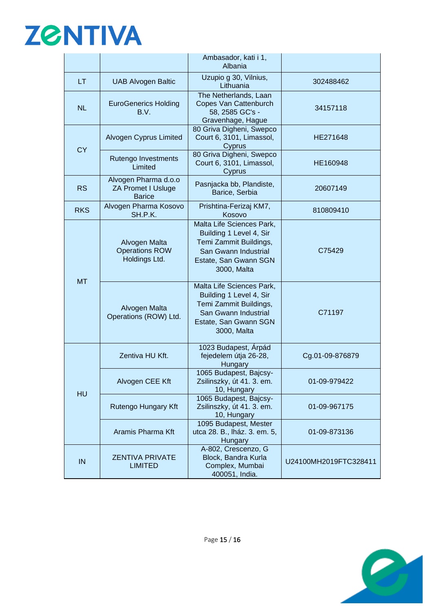

|            |                                                             | Ambasador, kati i 1,<br>Albania                                                                                                                |                       |
|------------|-------------------------------------------------------------|------------------------------------------------------------------------------------------------------------------------------------------------|-----------------------|
| LT         | <b>UAB Alvogen Baltic</b>                                   | Uzupio g 30, Vilnius,<br>Lithuania                                                                                                             | 302488462             |
| <b>NL</b>  | <b>EuroGenerics Holding</b><br>B.V.                         | The Netherlands, Laan<br>Copes Van Cattenburch<br>58, 2585 GC's -<br>Gravenhage, Hague                                                         | 34157118              |
| <b>CY</b>  | Alvogen Cyprus Limited                                      | 80 Griva Digheni, Swepco<br>Court 6, 3101, Limassol,<br>Cyprus                                                                                 | HE271648              |
|            | Rutengo Investments<br>Limited                              | 80 Griva Digheni, Swepco<br>Court 6, 3101, Limassol,<br>Cyprus                                                                                 | HE160948              |
| <b>RS</b>  | Alvogen Pharma d.o.o<br>ZA Promet I Usluge<br><b>Barice</b> | Pasnjacka bb, Plandiste,<br>Barice, Serbia                                                                                                     | 20607149              |
| <b>RKS</b> | Alvogen Pharma Kosovo<br>SH.P.K.                            | Prishtina-Ferizaj KM7,<br>Kosovo                                                                                                               | 810809410             |
| <b>MT</b>  | Alvogen Malta<br><b>Operations ROW</b><br>Holdings Ltd.     | Malta Life Sciences Park,<br>Building 1 Level 4, Sir<br>Temi Zammit Buildings,<br>San Gwann Industrial<br>Estate, San Gwann SGN<br>3000, Malta | C75429                |
|            | Alvogen Malta<br>Operations (ROW) Ltd.                      | Malta Life Sciences Park,<br>Building 1 Level 4, Sir<br>Temi Zammit Buildings,<br>San Gwann Industrial<br>Estate, San Gwann SGN<br>3000, Malta | C71197                |
|            | Zentiva HU Kft.                                             | 1023 Budapest, Árpád<br>fejedelem útja 26-28,<br>Hungary                                                                                       | Cg.01-09-876879       |
| <b>HU</b>  | Alvogen CEE Kft                                             | 1065 Budapest, Bajcsy-<br>Zsilinszky, út 41. 3. em.<br>10, Hungary                                                                             | 01-09-979422          |
|            | Rutengo Hungary Kft                                         | 1065 Budapest, Bajcsy-<br>Zsilinszky, út 41. 3. em.<br>10, Hungary                                                                             | 01-09-967175          |
|            | Aramis Pharma Kft                                           | 1095 Budapest, Mester<br>utca 28. B., lház. 3. em. 5,<br>Hungary                                                                               | 01-09-873136          |
| IN         | <b>ZENTIVA PRIVATE</b><br><b>LIMITED</b>                    | A-802, Crescenzo, G<br>Block, Bandra Kurla<br>Complex, Mumbai<br>400051, India.                                                                | U24100MH2019FTC328411 |